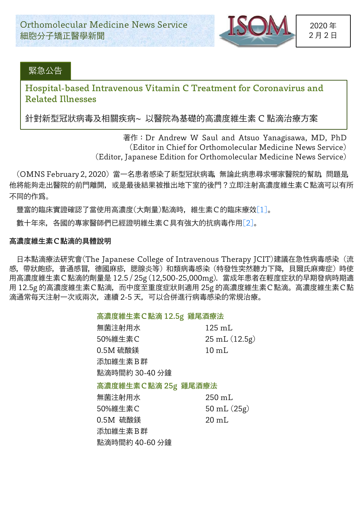

## 緊急公告

# Hospital-based Intravenous Vitamin C Treatment for Coronavirus and Related Illnesses

針對新型冠狀病毒及相關疾病~ 以醫院為基礎的高濃度維生素 C 點滴治療方案

著作:Dr Andrew W Saul and Atsuo Yanagisawa, MD, PhD (Editor in Chief for Orthomolecular Medicine News Service) (Editor, Japanese Edition for Orthomolecular Medicine News Service)

(OMNS February 2, 2020) 當一名患者感染了新型冠狀病毒,無論此病患尋求䬟家醫院的幫助,問題是, 他將能夠走出醫院的前門離開,或是最後結果被推出地下室的後門?立即注射高濃度維生素C點滴可以有所 不同的作爲。

豐富的臨床實證確認了當使用高濃度(大劑量)點滴時, 維生素C的臨床療效[1]。

數十年來,各國的專家醫師們已經證明維生素C具有強大的抗病毒作用[2]。

#### 高濃度維生素C點滴的具體說明

日本點滴療法研究會(The Japanese College of Intravenous Therapy JCIT)建議在急性病毒感染(流 感,帶狀皰疹,普通感冒,德國麻疹,腮腺炎等)和類病毒感染(特發性突然聽力下降,貝爾氏麻痺症)時使 用高濃度維生素C點滴的劑量是 12.5 / 25g (12,500-25,000mg).當成年患者在輕度症狀的早期發病時期適 用 12.5g 的高濃度維生素C點滴,而中度至重度症狀則適用 25g 的高濃度維生素C點滴。高濃度維生素C點 滴通常每天注射一次或兩次,連續 2-5 天,可以合併進行病毒感染的常規治療。

#### 高濃度維生素C點滴 12.5g 雞尾酒療法

| 無菌注射用水              | $125 \text{ mL}$ |
|---------------------|------------------|
| 50%維生素C             | 25 mL (12.5g)    |
| 0.5M 硫酸鎂            | $10 \text{ mL}$  |
| 添加維生素B群             |                  |
| 點滴時間約 30-40 分鐘      |                  |
| 高濃度維生素C點滴 25g 雞尾酒療法 |                  |
| 無菌注射用水              | $250 \text{ mL}$ |
| 50%維生素C             | 50 mL $(25g)$    |
| 0.5M 硫酸鎂            | $20 \text{ m}$ L |
| 添加維生素B群             |                  |
| 點滴時間約 40-60 分鐘      |                  |
|                     |                  |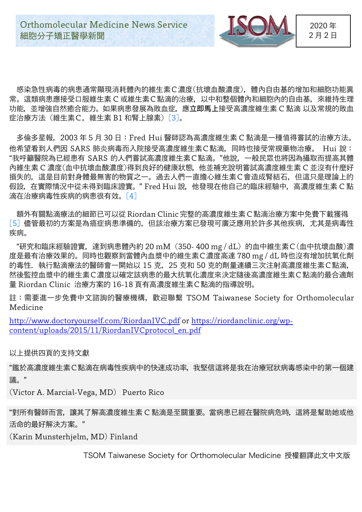

2020 年 2 月 2 日

感染急性病毒的病患通常顯現消耗體內的維生素C濃度(抗壞血酸濃度),體內自由基的增加和細胞功能異 常。這類病患應接受口服維生素 C 或維生素C點滴的治療,以中和整個體內和細胞內的自由基,來維持生理 功能,並增強自然癒合能力。如果病患發展為敗血症,應**立即馬上**接受高濃度維生素 C 點滴 以及常規的敗血 症治療方法(維生素C,維生素 B1 和腎上腺素)[3]。

多倫多星報,2003 年 5 月 30 日:Fred Hui 醫師認為高濃度維生素 C 點滴是一種值得嘗試的治療方法。 他希望看到人們因 SARS 肺炎病毒而入院接受高濃度維生素C點滴,同時也接受常規藥物治療。 Hui 說: "我呼籲醫院為已經患有 SARS 的人們嘗試高濃度維生素C點滴。"他說,一般民眾也將因為攝取而提高其體 內維生素 C 濃度(血中抗壞血酸濃度)得到良好的健康狀態,他並補充說明嘗試高濃度維生素 C 並沒有什麼好 損失的,這是目前對身體最無害的物質之一。過去人們一直擔心維生素C會造成腎結石,但這只是理論上的 假設,在實際情況中從未得到臨床證實。"Fred Hui 說,他發現在他自己的臨床經驗中,高濃度維生素 C 點 滴在治療病毒性疾病的病患很有效。[4]

額外有關點滴療法的細節已可以從Riordan Clinic完整的高濃度維生素C點滴治療方案中免費下載獲得. [5] 儘管最初的方案是為癌症病患準備的,但該治療方案已發現可廣泛應用於許多其他疾病,尤其是病毒性 疾病。

"研究和臨床經驗證實,達到病患體內約 20 mM(350- 400 mg / dL)的血中維生素C(血中抗壞血酸)濃 度是最有治療效果的。同時也觀察到當體內血漿中的維生素C濃度高達 780 mg / dL 時也沒有增加抗氧化劑 的毒性. 執行點滴療法的醫師會一開始以 15 克, 25 克和 50 克的劑量連續三次注射高濃度維生素C點滴, 然後監控血漿中的維生素C濃度以確定該病患的最大抗啓化濃度來決定隨後高濃度維生素C點滴的最合適劑 量 Riordan Clinic 治療方案的 16-18 頁有高濃度維生素C點滴的指導說明。

註:需要進一步免費中文諮詢的醫療機構,歡迎聯繫 TSOM Taiwanese Society for Orthomolecular Medicine

http://www.doctoryourself.com/RiordanIVC.pdf or https://riordanclinic.org/wpcontent/uploads/2015/11/RiordanIVCprotocol\_en.pdf

## 以上提供四頁的支持文獻

"鑑於高濃度維生素C點滴在病毒性疾病中的快速成功率,我堅信這將是我在治療冠狀病毒感染中的第一個建 議。"

(Victor A. Marcial-Vega, MD) Puerto Rico

"對所有醫師而言,讓其了解高濃度維生素 C 點滴是至關重要。當病患已經在醫院病危時,這將是幫助她或他 活命的最好解決方案。"

(Karin Munsterhjelm, MD) Finland

TSOM Taiwanese Society for Orthomolecular Medicine 授權翻譯此文中文版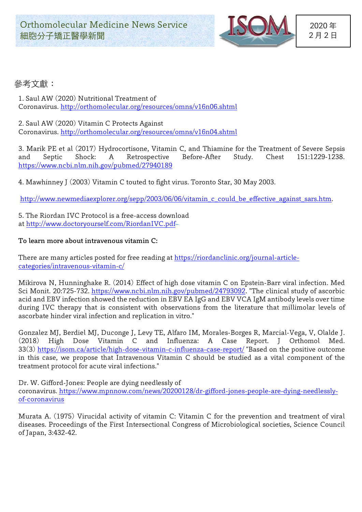

## 參考文獻:

1. Saul AW (2020) Nutritional Treatment of Coronavirus. http://orthomolecular.org/resources/omns/v16n06.shtml

2. Saul AW (2020) Vitamin C Protects Against Coronavirus. http://orthomolecular.org/resources/omns/v16n04.shtml

3. Marik PE et al (2017) Hydrocortisone, Vitamin C, and Thiamine for the Treatment of Severe Sepsis and Septic Shock: A Retrospective Before-After Study. Chest 151:1229-1238. https://www.ncbi.nlm.nih.gov/pubmed/27940189

4. Mawhinney J (2003) Vitamin C touted to fight virus. Toronto Star, 30 May 2003.

http://www.newmediaexplorer.org/sepp/2003/06/06/vitamin c could be effective against sars.htm.

5. The Riordan IVC Protocol is a free-access download at http://www.doctoryourself.com/RiordanIVC.pdf

#### To learn more about intravenous vitamin C:

There are many articles posted for free reading at https://riordanclinic.org/journal-articlecategories/intravenous-vitamin-c/

Mikirova N, Hunninghake R. (2014) Effect of high dose vitamin C on Epstein-Barr viral infection. Med Sci Monit. 20:725-732. https://www.ncbi.nlm.nih.gov/pubmed/24793092. "The clinical study of ascorbic acid and EBV infection showed the reduction in EBV EA IgG and EBV VCA IgM antibody levels over time during IVC therapy that is consistent with observations from the literature that millimolar levels of ascorbate hinder viral infection and replication in vitro."

Gonzalez MJ, Berdiel MJ, Duconge J, Levy TE, Alfaro IM, Morales-Borges R, Marcial-Vega, V, Olalde J. (2018) High Dose Vitamin C and Influenza: A Case Report. J Orthomol Med. 33(3) https://isom.ca/article/high-dose-vitamin-c-influenza-case-report/ "Based on the positive outcome in this case, we propose that Intravenous Vitamin C should be studied as a vital component of the treatment protocol for acute viral infections."

Dr. W. Gifford-Jones: People are dying needlessly of

coronavirus. https://www.mpnnow.com/news/20200128/dr-gifford-jones-people-are-dying-needlesslyof-coronavirus

Murata A. (1975) Virucidal activity of vitamin C: Vitamin C for the prevention and treatment of viral diseases. Proceedings of the First Intersectional Congress of Microbiological societies, Science Council of Japan, 3:432-42.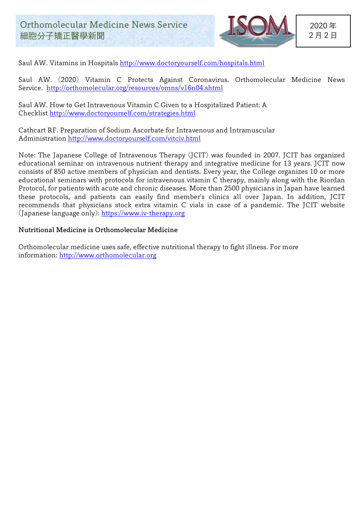

Saul AW. Vitamins in Hospitals http://www.doctoryourself.com/hospitals.html

Saul AW. (2020) Vitamin C Protects Against Coronavirus. Orthomolecular Medicine News Service. http://orthomolecular.org/resources/omns/v16n04.shtml

Saul AW. How to Get Intravenous Vitamin C Given to a Hospitalized Patient: A Checklist http://www.doctoryourself.com/strategies.html

Cathcart RF. Preparation of Sodium Ascorbate for Intravenous and Intramuscular Administration http://www.doctoryourself.com/vitciv.html

Note: The Japanese College of Intravenous Therapy (JCIT) was founded in 2007. JCIT has organized educational seminar on intravenous nutrient therapy and integrative medicine for 13 years. JCIT now consists of 850 active members of physician and dentists. Every year, the College organizes 10 or more educational seminars with protocols for intravenous vitamin C therapy, mainly along with the Riordan Protocol, for patients with acute and chronic diseases. More than 2500 physicians in Japan have learned these protocols, and patients can easily find member's clinics all over Japan. In addition, JCIT recommends that physicians stock extra vitamin C vials in case of a pandemic. The JCIT website (Japanese language only): https://www.iv-therapy.org

## Nutritional Medicine is Orthomolecular Medicine

Orthomolecular medicine uses safe, effective nutritional therapy to fight illness. For more information: http://www.orthomolecular.org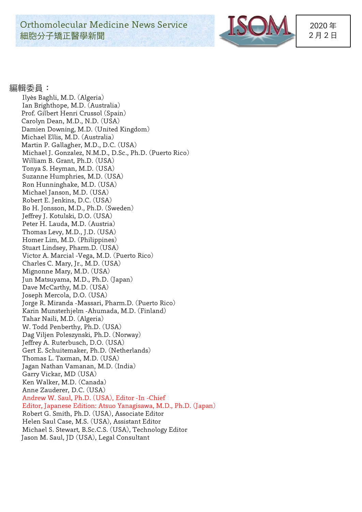**Orthomolecular Medicine News Service** 細胞分子矯正醫學新聞



2020 年 2 月 2 日

## 編輯委員:

Ily ès Baghli, M.D. (Algeria) Ian Brighthope, M.D. (Australia) Prof. Gilbert Henri Crussol (Spain) Carolyn Dean, M.D., N.D. (USA) Damien Downing, M.D. (United Kingdom) Michael Ellis, M.D. (Australia) Martin P. Gallagher, M.D., D.C. (USA) Michael J. Gonzalez, N.M.D., D.Sc., Ph.D. (Puerto Rico) William B. Grant, Ph.D. (USA) Tonya S. Heyman, M.D. (USA) Suzanne Humphries, M.D. (USA) Ron Hunninghake, M.D. (USA) Michael Janson, M.D. (USA) Robert E. Jenkins, D.C. (USA) Bo H. Jonsson, M.D., Ph.D. (Sweden) Jeffrey J. Kotulski, D.O. (USA) Peter H. Lauda, M.D. (Austria) Thomas Levy, M.D., J.D. (USA) Homer Lim, M.D. (Philippines) Stuart Lindsey, Pharm.D. (USA) Victor A. Marcial -Vega, M.D. (Puerto Rico) Charles C. Mary, Jr., M.D. (USA) Mignonne Mary, M.D. (USA) Jun Matsuyama, M.D., Ph.D. (Japan) Dave McCarthy, M.D. (USA) Joseph Mercola, D.O. (USA) Jorge R. Miranda -Massari, Pharm.D. (Puerto Rico) Karin Munsterhjelm -Ahumada, M.D. (Finland) Tahar Naili, M.D. (Algeria) W. Todd Penberthy, Ph.D. (USA) Dag Viljen Poleszynski, Ph.D. (Norway) Jeffrey A. Ruterbusch, D.O. (USA) Gert E. Schuitemaker, Ph.D. (Netherlands) Thomas L. Taxman, M.D. (USA) Jagan Nathan Vamanan, M.D. (India) Garry Vickar, MD (USA) Ken Walker, M.D. (Canada) Anne Zauderer, D.C. (USA) Andrew W. Saul, Ph.D. (USA), Editor -In -Chief Editor, Japanese Edition: Atsuo Yanagisawa, M.D., Ph.D. (Japan) Robert G. Smith, Ph.D. (USA), Associate Editor Helen Saul Case, M.S. (USA), Assistant Editor Michael S. Stewart, B.Sc.C.S. (USA), Technology Editor Jason M. Saul, JD (USA), Legal Consultant